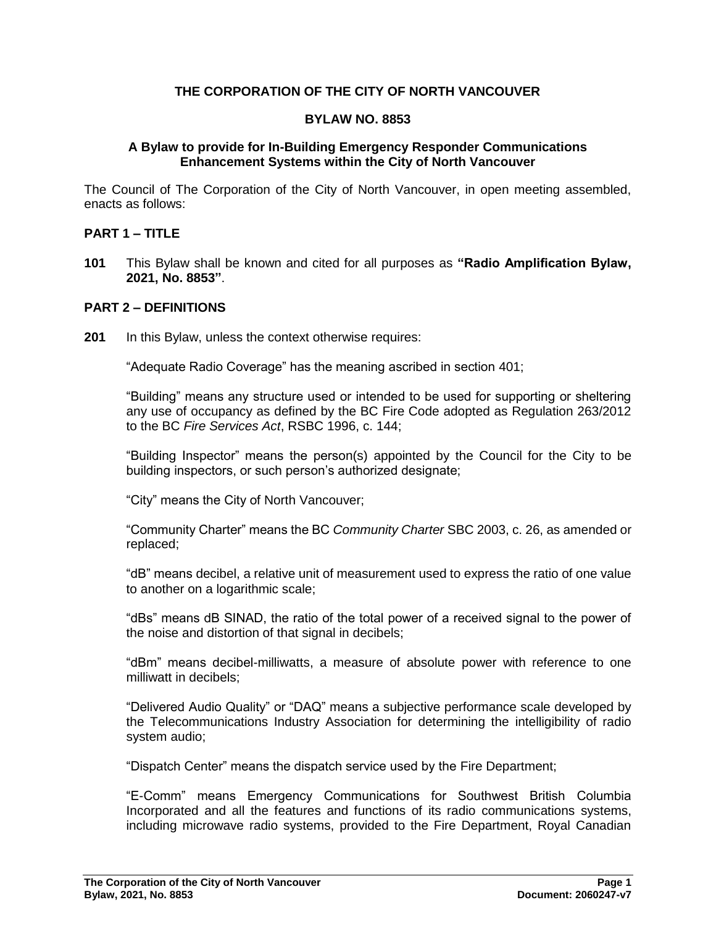## **THE CORPORATION OF THE CITY OF NORTH VANCOUVER**

#### **BYLAW NO. 8853**

#### **A Bylaw to provide for In-Building Emergency Responder Communications Enhancement Systems within the City of North Vancouver**

The Council of The Corporation of the City of North Vancouver, in open meeting assembled, enacts as follows:

## **PART 1 – TITLE**

**101** This Bylaw shall be known and cited for all purposes as **"Radio Amplification Bylaw, 2021, No. 8853"**.

#### **PART 2 – DEFINITIONS**

**201** In this Bylaw, unless the context otherwise requires:

"Adequate Radio Coverage" has the meaning ascribed in section 401;

"Building" means any structure used or intended to be used for supporting or sheltering any use of occupancy as defined by the BC Fire Code adopted as Regulation 263/2012 to the BC *Fire Services Act*, RSBC 1996, c. 144;

"Building Inspector" means the person(s) appointed by the Council for the City to be building inspectors, or such person's authorized designate;

"City" means the City of North Vancouver;

"Community Charter" means the BC *Community Charter* SBC 2003, c. 26, as amended or replaced;

"dB" means decibel, a relative unit of measurement used to express the ratio of one value to another on a logarithmic scale;

"dBs" means dB SINAD, the ratio of the total power of a received signal to the power of the noise and distortion of that signal in decibels;

"dBm" means decibel-milliwatts, a measure of absolute power with reference to one milliwatt in decibels;

"Delivered Audio Quality" or "DAQ" means a subjective performance scale developed by the Telecommunications Industry Association for determining the intelligibility of radio system audio;

"Dispatch Center" means the dispatch service used by the Fire Department;

"E-Comm" means Emergency Communications for Southwest British Columbia Incorporated and all the features and functions of its radio communications systems, including microwave radio systems, provided to the Fire Department, Royal Canadian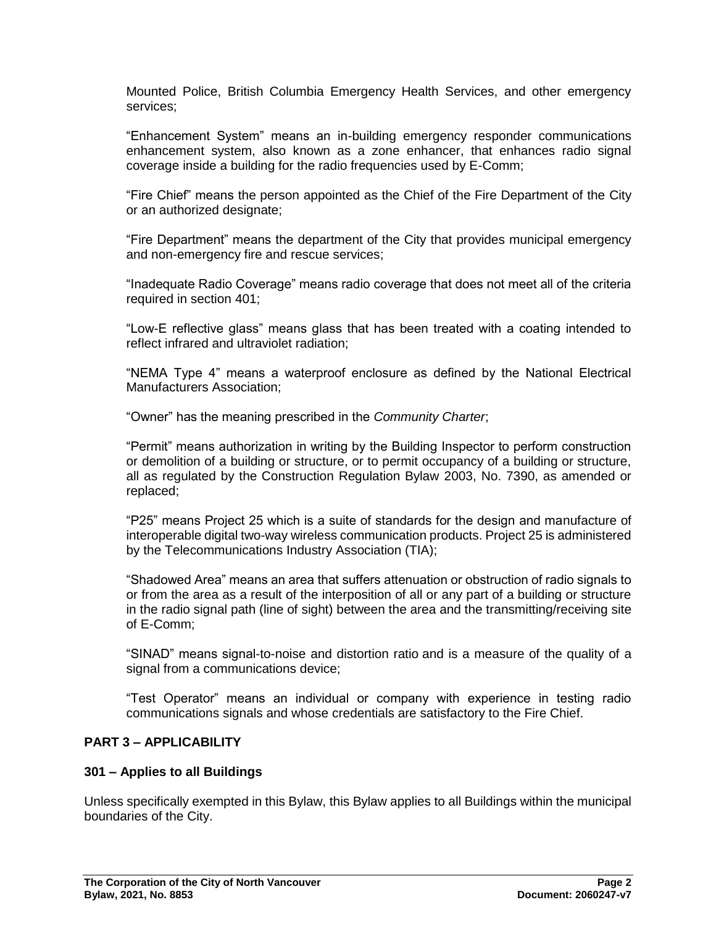Mounted Police, British Columbia Emergency Health Services, and other emergency services;

"Enhancement System" means an in-building emergency responder communications enhancement system, also known as a zone enhancer, that enhances radio signal coverage inside a building for the radio frequencies used by E-Comm;

"Fire Chief" means the person appointed as the Chief of the Fire Department of the City or an authorized designate;

"Fire Department" means the department of the City that provides municipal emergency and non-emergency fire and rescue services;

"Inadequate Radio Coverage" means radio coverage that does not meet all of the criteria required in section 401;

"Low-E reflective glass" means glass that has been treated with a coating intended to reflect infrared and ultraviolet radiation;

"NEMA Type 4" means a waterproof enclosure as defined by the National Electrical Manufacturers Association;

"Owner" has the meaning prescribed in the *Community Charter*;

"Permit" means authorization in writing by the Building Inspector to perform construction or demolition of a building or structure, or to permit occupancy of a building or structure, all as regulated by the Construction Regulation Bylaw 2003, No. 7390, as amended or replaced;

"P25" means Project 25 which is a suite of standards for the design and manufacture of interoperable digital two-way wireless communication products. Project 25 is administered by the Telecommunications Industry Association (TIA);

"Shadowed Area" means an area that suffers attenuation or obstruction of radio signals to or from the area as a result of the interposition of all or any part of a building or structure in the radio signal path (line of sight) between the area and the transmitting/receiving site of E-Comm;

"SINAD" means signal-to-noise and distortion ratio and is a measure of the quality of a signal from a communications device;

"Test Operator" means an individual or company with experience in testing radio communications signals and whose credentials are satisfactory to the Fire Chief.

### **PART 3 – APPLICABILITY**

### **301 – Applies to all Buildings**

Unless specifically exempted in this Bylaw, this Bylaw applies to all Buildings within the municipal boundaries of the City.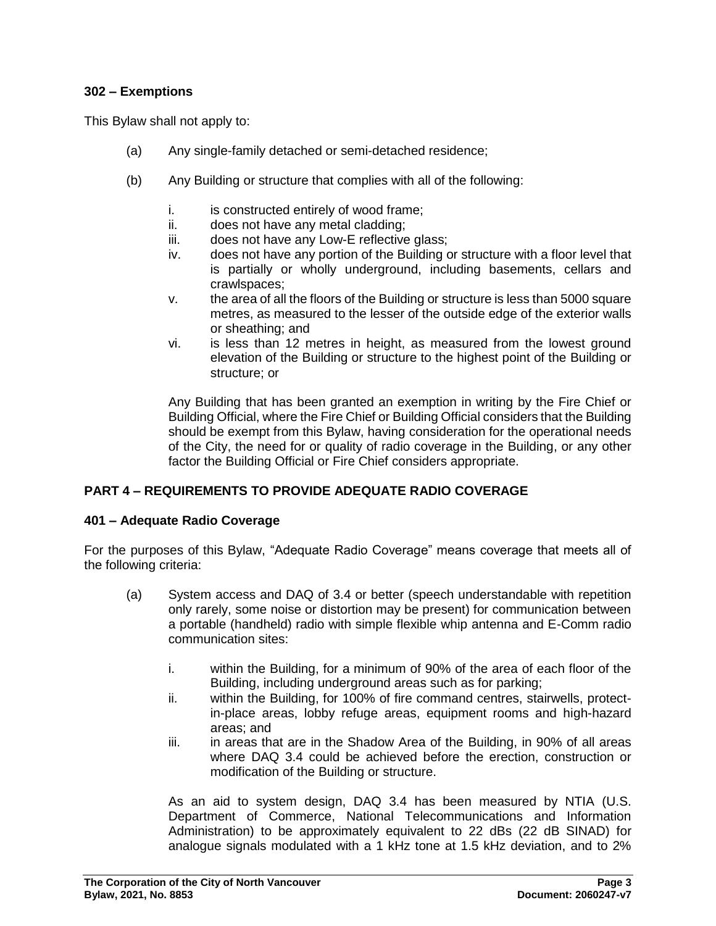## **302 – Exemptions**

This Bylaw shall not apply to:

- (a) Any single-family detached or semi-detached residence;
- (b) Any Building or structure that complies with all of the following:
	- i. is constructed entirely of wood frame;
	- ii. does not have any metal cladding;
	- iii. does not have any Low-E reflective glass;
	- iv. does not have any portion of the Building or structure with a floor level that is partially or wholly underground, including basements, cellars and crawlspaces;
	- v. the area of all the floors of the Building or structure is less than 5000 square metres, as measured to the lesser of the outside edge of the exterior walls or sheathing; and
	- vi. is less than 12 metres in height, as measured from the lowest ground elevation of the Building or structure to the highest point of the Building or structure; or

Any Building that has been granted an exemption in writing by the Fire Chief or Building Official, where the Fire Chief or Building Official considers that the Building should be exempt from this Bylaw, having consideration for the operational needs of the City, the need for or quality of radio coverage in the Building, or any other factor the Building Official or Fire Chief considers appropriate.

## **PART 4 – REQUIREMENTS TO PROVIDE ADEQUATE RADIO COVERAGE**

### **401 – Adequate Radio Coverage**

For the purposes of this Bylaw, "Adequate Radio Coverage" means coverage that meets all of the following criteria:

- (a) System access and DAQ of 3.4 or better (speech understandable with repetition only rarely, some noise or distortion may be present) for communication between a portable (handheld) radio with simple flexible whip antenna and E-Comm radio communication sites:
	- i. within the Building, for a minimum of 90% of the area of each floor of the Building, including underground areas such as for parking;
	- ii. within the Building, for 100% of fire command centres, stairwells, protectin-place areas, lobby refuge areas, equipment rooms and high-hazard areas; and
	- iii. in areas that are in the Shadow Area of the Building, in 90% of all areas where DAQ 3.4 could be achieved before the erection, construction or modification of the Building or structure.

As an aid to system design, DAQ 3.4 has been measured by NTIA (U.S. Department of Commerce, National Telecommunications and Information Administration) to be approximately equivalent to 22 dBs (22 dB SINAD) for analogue signals modulated with a 1 kHz tone at 1.5 kHz deviation, and to 2%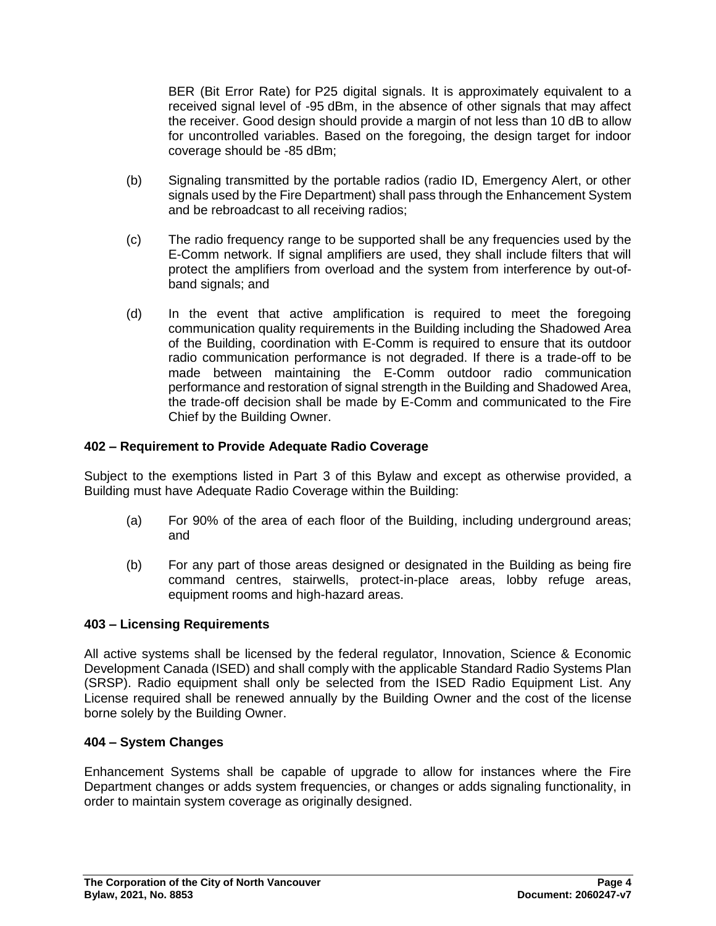BER (Bit Error Rate) for P25 digital signals. It is approximately equivalent to a received signal level of -95 dBm, in the absence of other signals that may affect the receiver. Good design should provide a margin of not less than 10 dB to allow for uncontrolled variables. Based on the foregoing, the design target for indoor coverage should be -85 dBm;

- (b) Signaling transmitted by the portable radios (radio ID, Emergency Alert, or other signals used by the Fire Department) shall pass through the Enhancement System and be rebroadcast to all receiving radios;
- (c) The radio frequency range to be supported shall be any frequencies used by the E-Comm network. If signal amplifiers are used, they shall include filters that will protect the amplifiers from overload and the system from interference by out-ofband signals; and
- (d) In the event that active amplification is required to meet the foregoing communication quality requirements in the Building including the Shadowed Area of the Building, coordination with E-Comm is required to ensure that its outdoor radio communication performance is not degraded. If there is a trade-off to be made between maintaining the E-Comm outdoor radio communication performance and restoration of signal strength in the Building and Shadowed Area, the trade-off decision shall be made by E-Comm and communicated to the Fire Chief by the Building Owner.

### **402 – Requirement to Provide Adequate Radio Coverage**

Subject to the exemptions listed in Part 3 of this Bylaw and except as otherwise provided, a Building must have Adequate Radio Coverage within the Building:

- (a) For 90% of the area of each floor of the Building, including underground areas; and
- (b) For any part of those areas designed or designated in the Building as being fire command centres, stairwells, protect-in-place areas, lobby refuge areas, equipment rooms and high-hazard areas.

### **403 – Licensing Requirements**

All active systems shall be licensed by the federal regulator, Innovation, Science & Economic Development Canada (ISED) and shall comply with the applicable Standard Radio Systems Plan (SRSP). Radio equipment shall only be selected from the ISED Radio Equipment List. Any License required shall be renewed annually by the Building Owner and the cost of the license borne solely by the Building Owner.

### **404 – System Changes**

Enhancement Systems shall be capable of upgrade to allow for instances where the Fire Department changes or adds system frequencies, or changes or adds signaling functionality, in order to maintain system coverage as originally designed.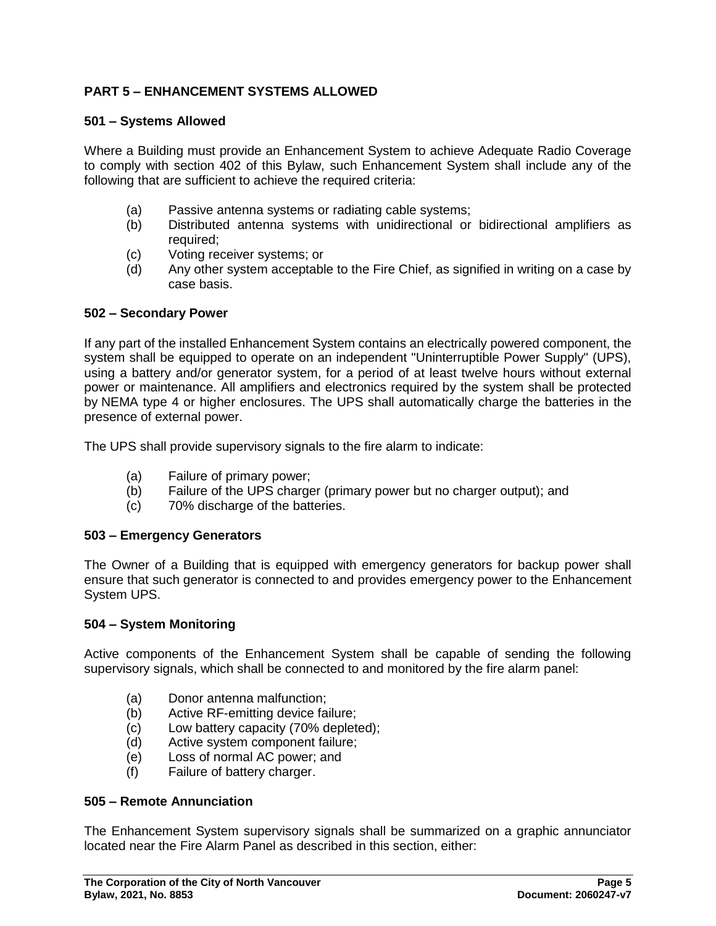# **PART 5 – ENHANCEMENT SYSTEMS ALLOWED**

### **501 – Systems Allowed**

Where a Building must provide an Enhancement System to achieve Adequate Radio Coverage to comply with section 402 of this Bylaw, such Enhancement System shall include any of the following that are sufficient to achieve the required criteria:

- (a) Passive antenna systems or radiating cable systems;
- (b) Distributed antenna systems with unidirectional or bidirectional amplifiers as required;
- (c) Voting receiver systems; or
- (d) Any other system acceptable to the Fire Chief, as signified in writing on a case by case basis.

#### **502 – Secondary Power**

If any part of the installed Enhancement System contains an electrically powered component, the system shall be equipped to operate on an independent "Uninterruptible Power Supply" (UPS), using a battery and/or generator system, for a period of at least twelve hours without external power or maintenance. All amplifiers and electronics required by the system shall be protected by NEMA type 4 or higher enclosures. The UPS shall automatically charge the batteries in the presence of external power.

The UPS shall provide supervisory signals to the fire alarm to indicate:

- (a) Failure of primary power;
- (b) Failure of the UPS charger (primary power but no charger output); and
- (c) 70% discharge of the batteries.

#### **503 – Emergency Generators**

The Owner of a Building that is equipped with emergency generators for backup power shall ensure that such generator is connected to and provides emergency power to the Enhancement System UPS.

#### **504 – System Monitoring**

Active components of the Enhancement System shall be capable of sending the following supervisory signals, which shall be connected to and monitored by the fire alarm panel:

- (a) Donor antenna malfunction;
- (b) Active RF-emitting device failure;
- (c) Low battery capacity (70% depleted);
- (d) Active system component failure;
- (e) Loss of normal AC power; and
- (f) Failure of battery charger.

#### **505 – Remote Annunciation**

The Enhancement System supervisory signals shall be summarized on a graphic annunciator located near the Fire Alarm Panel as described in this section, either: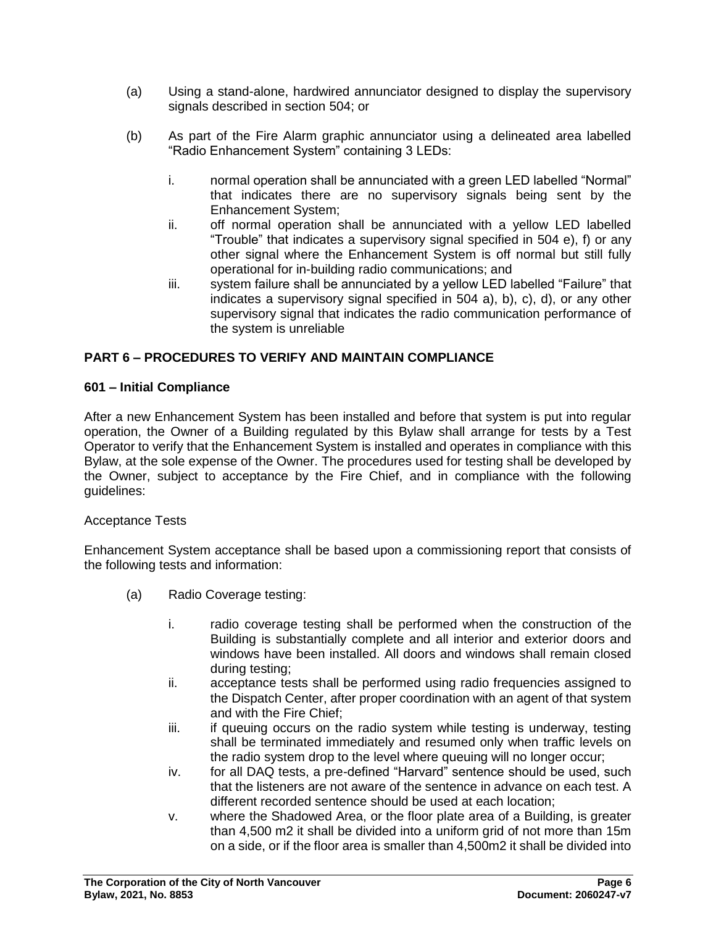- (a) Using a stand-alone, hardwired annunciator designed to display the supervisory signals described in section 504; or
- (b) As part of the Fire Alarm graphic annunciator using a delineated area labelled "Radio Enhancement System" containing 3 LEDs:
	- i. normal operation shall be annunciated with a green LED labelled "Normal" that indicates there are no supervisory signals being sent by the Enhancement System;
	- ii. off normal operation shall be annunciated with a yellow LED labelled "Trouble" that indicates a supervisory signal specified in 504 e), f) or any other signal where the Enhancement System is off normal but still fully operational for in-building radio communications; and
	- iii. system failure shall be annunciated by a yellow LED labelled "Failure" that indicates a supervisory signal specified in 504 a), b), c), d), or any other supervisory signal that indicates the radio communication performance of the system is unreliable

# **PART 6 – PROCEDURES TO VERIFY AND MAINTAIN COMPLIANCE**

### **601 – Initial Compliance**

After a new Enhancement System has been installed and before that system is put into regular operation, the Owner of a Building regulated by this Bylaw shall arrange for tests by a Test Operator to verify that the Enhancement System is installed and operates in compliance with this Bylaw, at the sole expense of the Owner. The procedures used for testing shall be developed by the Owner, subject to acceptance by the Fire Chief, and in compliance with the following guidelines:

## Acceptance Tests

Enhancement System acceptance shall be based upon a commissioning report that consists of the following tests and information:

- (a) Radio Coverage testing:
	- i. radio coverage testing shall be performed when the construction of the Building is substantially complete and all interior and exterior doors and windows have been installed. All doors and windows shall remain closed during testing;
	- ii. acceptance tests shall be performed using radio frequencies assigned to the Dispatch Center, after proper coordination with an agent of that system and with the Fire Chief;
	- iii. if queuing occurs on the radio system while testing is underway, testing shall be terminated immediately and resumed only when traffic levels on the radio system drop to the level where queuing will no longer occur;
	- iv. for all DAQ tests, a pre-defined "Harvard" sentence should be used, such that the listeners are not aware of the sentence in advance on each test. A different recorded sentence should be used at each location;
	- v. where the Shadowed Area, or the floor plate area of a Building, is greater than 4,500 m2 it shall be divided into a uniform grid of not more than 15m on a side, or if the floor area is smaller than 4,500m2 it shall be divided into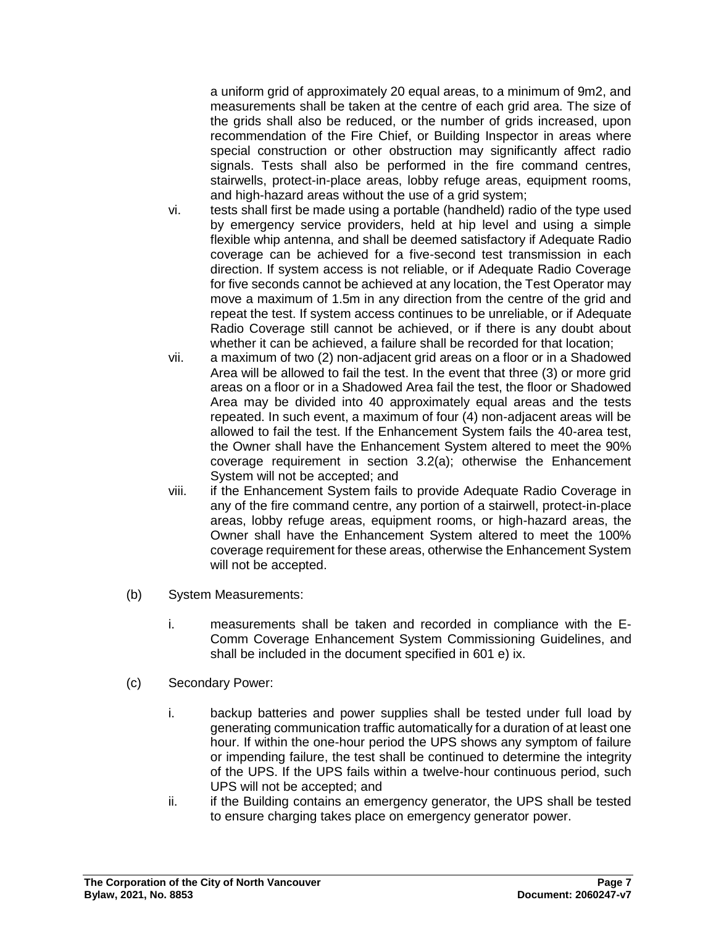a uniform grid of approximately 20 equal areas, to a minimum of 9m2, and measurements shall be taken at the centre of each grid area. The size of the grids shall also be reduced, or the number of grids increased, upon recommendation of the Fire Chief, or Building Inspector in areas where special construction or other obstruction may significantly affect radio signals. Tests shall also be performed in the fire command centres, stairwells, protect-in-place areas, lobby refuge areas, equipment rooms, and high-hazard areas without the use of a grid system;

- vi. tests shall first be made using a portable (handheld) radio of the type used by emergency service providers, held at hip level and using a simple flexible whip antenna, and shall be deemed satisfactory if Adequate Radio coverage can be achieved for a five-second test transmission in each direction. If system access is not reliable, or if Adequate Radio Coverage for five seconds cannot be achieved at any location, the Test Operator may move a maximum of 1.5m in any direction from the centre of the grid and repeat the test. If system access continues to be unreliable, or if Adequate Radio Coverage still cannot be achieved, or if there is any doubt about whether it can be achieved, a failure shall be recorded for that location;
- vii. a maximum of two (2) non-adjacent grid areas on a floor or in a Shadowed Area will be allowed to fail the test. In the event that three (3) or more grid areas on a floor or in a Shadowed Area fail the test, the floor or Shadowed Area may be divided into 40 approximately equal areas and the tests repeated. In such event, a maximum of four (4) non-adjacent areas will be allowed to fail the test. If the Enhancement System fails the 40-area test, the Owner shall have the Enhancement System altered to meet the 90% coverage requirement in section 3.2(a); otherwise the Enhancement System will not be accepted; and
- viii. if the Enhancement System fails to provide Adequate Radio Coverage in any of the fire command centre, any portion of a stairwell, protect-in-place areas, lobby refuge areas, equipment rooms, or high-hazard areas, the Owner shall have the Enhancement System altered to meet the 100% coverage requirement for these areas, otherwise the Enhancement System will not be accepted.
- (b) System Measurements:
	- i. measurements shall be taken and recorded in compliance with the E-Comm Coverage Enhancement System Commissioning Guidelines, and shall be included in the document specified in 601 e) ix.
- (c) Secondary Power:
	- i. backup batteries and power supplies shall be tested under full load by generating communication traffic automatically for a duration of at least one hour. If within the one-hour period the UPS shows any symptom of failure or impending failure, the test shall be continued to determine the integrity of the UPS. If the UPS fails within a twelve-hour continuous period, such UPS will not be accepted; and
	- ii. if the Building contains an emergency generator, the UPS shall be tested to ensure charging takes place on emergency generator power.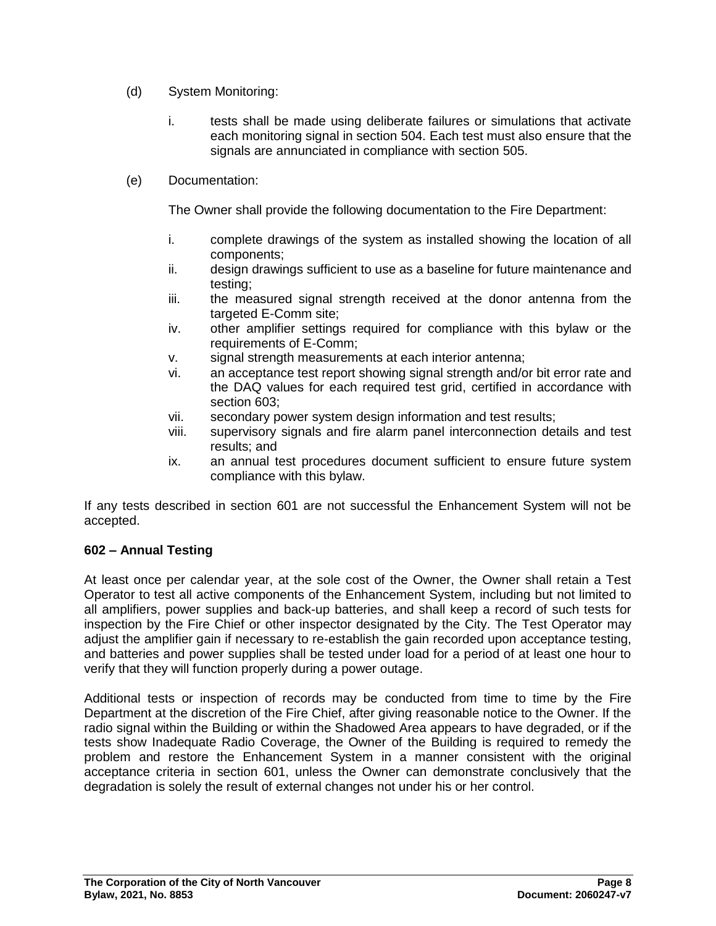- (d) System Monitoring:
	- i. tests shall be made using deliberate failures or simulations that activate each monitoring signal in section 504. Each test must also ensure that the signals are annunciated in compliance with section 505.
- (e) Documentation:

The Owner shall provide the following documentation to the Fire Department:

- i. complete drawings of the system as installed showing the location of all components;
- ii. design drawings sufficient to use as a baseline for future maintenance and testing;
- iii. the measured signal strength received at the donor antenna from the targeted E-Comm site;
- iv. other amplifier settings required for compliance with this bylaw or the requirements of E-Comm;
- v. signal strength measurements at each interior antenna;
- vi. an acceptance test report showing signal strength and/or bit error rate and the DAQ values for each required test grid, certified in accordance with section 603;
- vii. secondary power system design information and test results;
- viii. supervisory signals and fire alarm panel interconnection details and test results; and
- ix. an annual test procedures document sufficient to ensure future system compliance with this bylaw.

If any tests described in section 601 are not successful the Enhancement System will not be accepted.

## **602 – Annual Testing**

At least once per calendar year, at the sole cost of the Owner, the Owner shall retain a Test Operator to test all active components of the Enhancement System, including but not limited to all amplifiers, power supplies and back-up batteries, and shall keep a record of such tests for inspection by the Fire Chief or other inspector designated by the City. The Test Operator may adjust the amplifier gain if necessary to re-establish the gain recorded upon acceptance testing, and batteries and power supplies shall be tested under load for a period of at least one hour to verify that they will function properly during a power outage.

Additional tests or inspection of records may be conducted from time to time by the Fire Department at the discretion of the Fire Chief, after giving reasonable notice to the Owner. If the radio signal within the Building or within the Shadowed Area appears to have degraded, or if the tests show Inadequate Radio Coverage, the Owner of the Building is required to remedy the problem and restore the Enhancement System in a manner consistent with the original acceptance criteria in section 601, unless the Owner can demonstrate conclusively that the degradation is solely the result of external changes not under his or her control.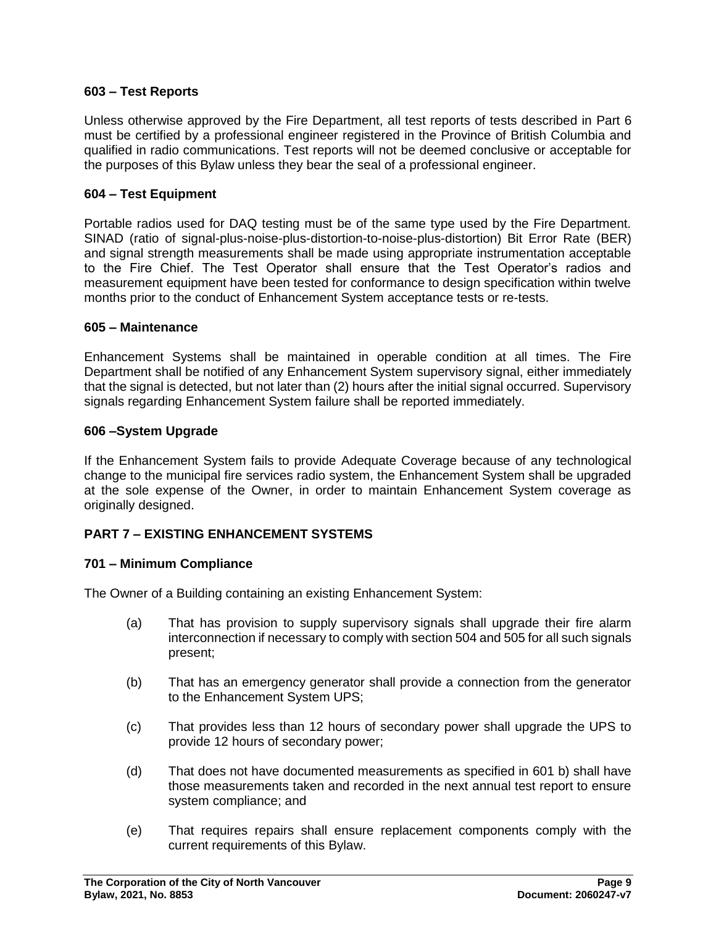### **603 – Test Reports**

Unless otherwise approved by the Fire Department, all test reports of tests described in Part 6 must be certified by a professional engineer registered in the Province of British Columbia and qualified in radio communications. Test reports will not be deemed conclusive or acceptable for the purposes of this Bylaw unless they bear the seal of a professional engineer.

### **604 – Test Equipment**

Portable radios used for DAQ testing must be of the same type used by the Fire Department. SINAD (ratio of signal-plus-noise-plus-distortion-to-noise-plus-distortion) Bit Error Rate (BER) and signal strength measurements shall be made using appropriate instrumentation acceptable to the Fire Chief. The Test Operator shall ensure that the Test Operator's radios and measurement equipment have been tested for conformance to design specification within twelve months prior to the conduct of Enhancement System acceptance tests or re-tests.

### **605 – Maintenance**

Enhancement Systems shall be maintained in operable condition at all times. The Fire Department shall be notified of any Enhancement System supervisory signal, either immediately that the signal is detected, but not later than (2) hours after the initial signal occurred. Supervisory signals regarding Enhancement System failure shall be reported immediately.

### **606 –System Upgrade**

If the Enhancement System fails to provide Adequate Coverage because of any technological change to the municipal fire services radio system, the Enhancement System shall be upgraded at the sole expense of the Owner, in order to maintain Enhancement System coverage as originally designed.

## **PART 7 – EXISTING ENHANCEMENT SYSTEMS**

## **701 – Minimum Compliance**

The Owner of a Building containing an existing Enhancement System:

- (a) That has provision to supply supervisory signals shall upgrade their fire alarm interconnection if necessary to comply with section 504 and 505 for all such signals present;
- (b) That has an emergency generator shall provide a connection from the generator to the Enhancement System UPS;
- (c) That provides less than 12 hours of secondary power shall upgrade the UPS to provide 12 hours of secondary power;
- (d) That does not have documented measurements as specified in 601 b) shall have those measurements taken and recorded in the next annual test report to ensure system compliance; and
- (e) That requires repairs shall ensure replacement components comply with the current requirements of this Bylaw.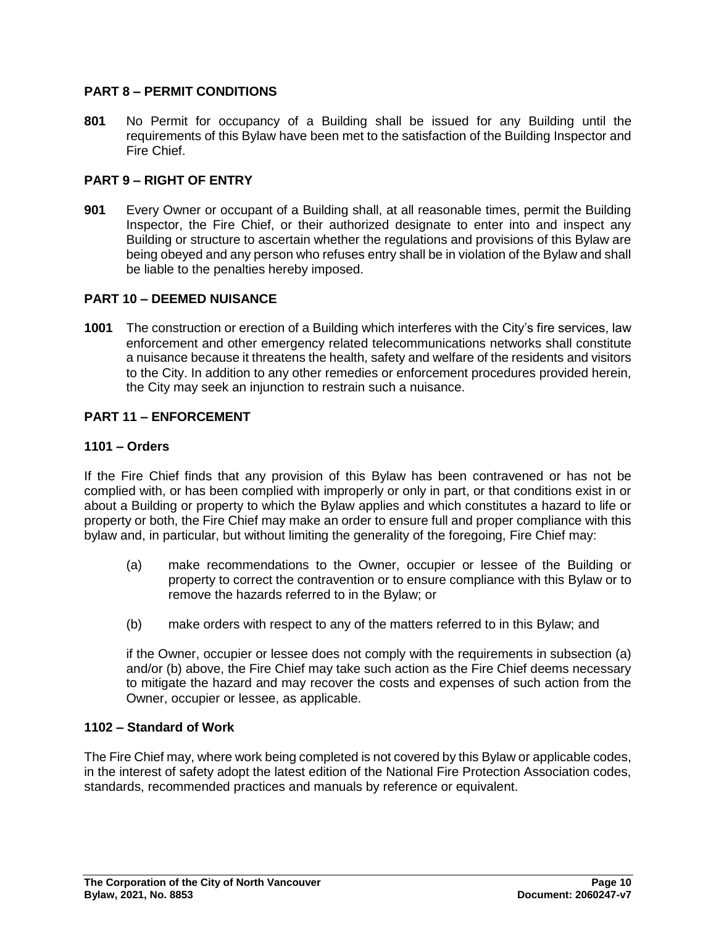## **PART 8 – PERMIT CONDITIONS**

**801** No Permit for occupancy of a Building shall be issued for any Building until the requirements of this Bylaw have been met to the satisfaction of the Building Inspector and Fire Chief.

### **PART 9 – RIGHT OF ENTRY**

**901** Every Owner or occupant of a Building shall, at all reasonable times, permit the Building Inspector, the Fire Chief, or their authorized designate to enter into and inspect any Building or structure to ascertain whether the regulations and provisions of this Bylaw are being obeyed and any person who refuses entry shall be in violation of the Bylaw and shall be liable to the penalties hereby imposed.

### **PART 10 – DEEMED NUISANCE**

**1001** The construction or erection of a Building which interferes with the City's fire services, law enforcement and other emergency related telecommunications networks shall constitute a nuisance because it threatens the health, safety and welfare of the residents and visitors to the City. In addition to any other remedies or enforcement procedures provided herein, the City may seek an injunction to restrain such a nuisance.

### **PART 11 – ENFORCEMENT**

### **1101 – Orders**

If the Fire Chief finds that any provision of this Bylaw has been contravened or has not be complied with, or has been complied with improperly or only in part, or that conditions exist in or about a Building or property to which the Bylaw applies and which constitutes a hazard to life or property or both, the Fire Chief may make an order to ensure full and proper compliance with this bylaw and, in particular, but without limiting the generality of the foregoing, Fire Chief may:

- (a) make recommendations to the Owner, occupier or lessee of the Building or property to correct the contravention or to ensure compliance with this Bylaw or to remove the hazards referred to in the Bylaw; or
- (b) make orders with respect to any of the matters referred to in this Bylaw; and

if the Owner, occupier or lessee does not comply with the requirements in subsection (a) and/or (b) above, the Fire Chief may take such action as the Fire Chief deems necessary to mitigate the hazard and may recover the costs and expenses of such action from the Owner, occupier or lessee, as applicable.

### **1102 – Standard of Work**

The Fire Chief may, where work being completed is not covered by this Bylaw or applicable codes, in the interest of safety adopt the latest edition of the National Fire Protection Association codes, standards, recommended practices and manuals by reference or equivalent.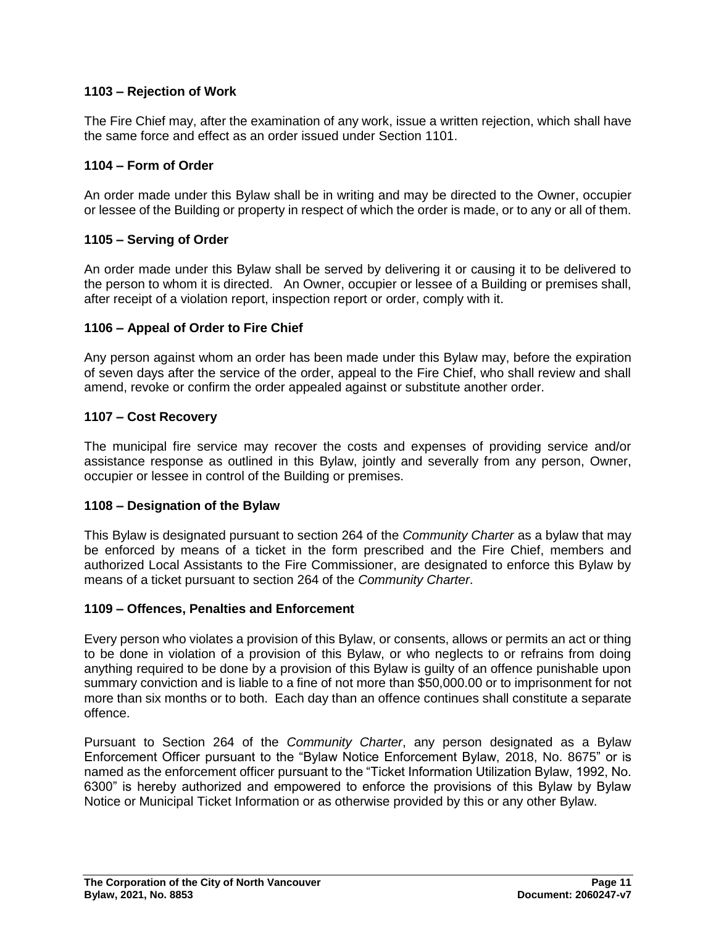## **1103 – Rejection of Work**

The Fire Chief may, after the examination of any work, issue a written rejection, which shall have the same force and effect as an order issued under Section 1101.

### **1104 – Form of Order**

An order made under this Bylaw shall be in writing and may be directed to the Owner, occupier or lessee of the Building or property in respect of which the order is made, or to any or all of them.

### **1105 – Serving of Order**

An order made under this Bylaw shall be served by delivering it or causing it to be delivered to the person to whom it is directed. An Owner, occupier or lessee of a Building or premises shall, after receipt of a violation report, inspection report or order, comply with it.

### **1106 – Appeal of Order to Fire Chief**

Any person against whom an order has been made under this Bylaw may, before the expiration of seven days after the service of the order, appeal to the Fire Chief, who shall review and shall amend, revoke or confirm the order appealed against or substitute another order.

#### **1107 – Cost Recovery**

The municipal fire service may recover the costs and expenses of providing service and/or assistance response as outlined in this Bylaw, jointly and severally from any person, Owner, occupier or lessee in control of the Building or premises.

#### **1108 – Designation of the Bylaw**

This Bylaw is designated pursuant to section 264 of the *Community Charter* as a bylaw that may be enforced by means of a ticket in the form prescribed and the Fire Chief, members and authorized Local Assistants to the Fire Commissioner, are designated to enforce this Bylaw by means of a ticket pursuant to section 264 of the *Community Charter*.

#### **1109 – Offences, Penalties and Enforcement**

Every person who violates a provision of this Bylaw, or consents, allows or permits an act or thing to be done in violation of a provision of this Bylaw, or who neglects to or refrains from doing anything required to be done by a provision of this Bylaw is guilty of an offence punishable upon summary conviction and is liable to a fine of not more than \$50,000.00 or to imprisonment for not more than six months or to both. Each day than an offence continues shall constitute a separate offence.

Pursuant to Section 264 of the *Community Charter*, any person designated as a Bylaw Enforcement Officer pursuant to the "Bylaw Notice Enforcement Bylaw, 2018, No. 8675" or is named as the enforcement officer pursuant to the "Ticket Information Utilization Bylaw, 1992, No. 6300" is hereby authorized and empowered to enforce the provisions of this Bylaw by Bylaw Notice or Municipal Ticket Information or as otherwise provided by this or any other Bylaw.